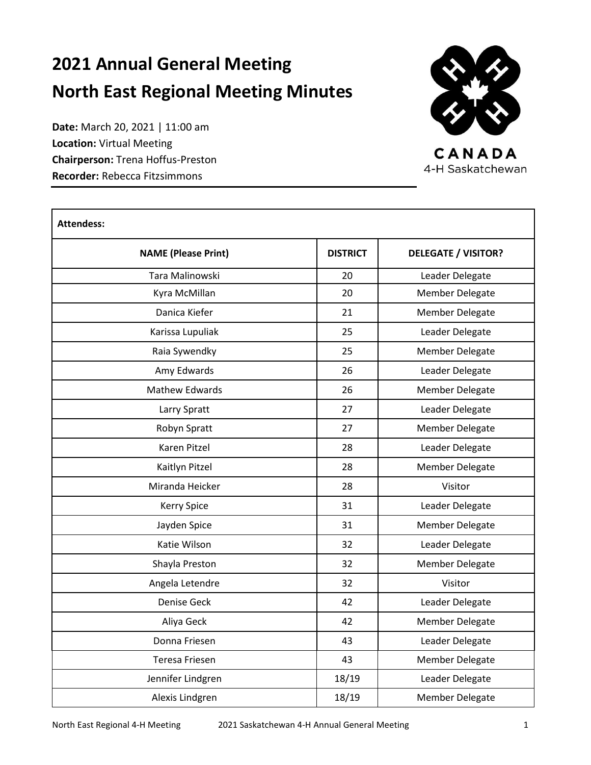# **2021 Annual General Meeting North East Regional Meeting Minutes**

**Date:** March 20, 2021 | 11:00 am **Location:** Virtual Meeting **Chairperson:** Trena Hoffus-Preston **Recorder:** Rebecca Fitzsimmons



CANADA 4-H Saskatchewan

| <b>Attendess:</b>          |                 |                            |  |  |  |
|----------------------------|-----------------|----------------------------|--|--|--|
| <b>NAME (Please Print)</b> | <b>DISTRICT</b> | <b>DELEGATE / VISITOR?</b> |  |  |  |
| Tara Malinowski            | 20              | Leader Delegate            |  |  |  |
| Kyra McMillan              | 20              | <b>Member Delegate</b>     |  |  |  |
| Danica Kiefer              | 21              | <b>Member Delegate</b>     |  |  |  |
| Karissa Lupuliak           | 25              | Leader Delegate            |  |  |  |
| Raia Sywendky              | 25              | <b>Member Delegate</b>     |  |  |  |
| Amy Edwards                | 26              | Leader Delegate            |  |  |  |
| Mathew Edwards             | 26              | Member Delegate            |  |  |  |
| Larry Spratt               | 27              | Leader Delegate            |  |  |  |
| Robyn Spratt               | 27              | <b>Member Delegate</b>     |  |  |  |
| <b>Karen Pitzel</b>        | 28              | Leader Delegate            |  |  |  |
| Kaitlyn Pitzel             | 28              | Member Delegate            |  |  |  |
| Miranda Heicker            | 28              | Visitor                    |  |  |  |
| Kerry Spice                | 31              | Leader Delegate            |  |  |  |
| Jayden Spice               | 31              | <b>Member Delegate</b>     |  |  |  |
| Katie Wilson               | 32              | Leader Delegate            |  |  |  |
| Shayla Preston             | 32              | Member Delegate            |  |  |  |
| Angela Letendre            | 32              | Visitor                    |  |  |  |
| <b>Denise Geck</b>         | 42              | Leader Delegate            |  |  |  |
| Aliya Geck                 | 42              | <b>Member Delegate</b>     |  |  |  |
| Donna Friesen              | 43              | Leader Delegate            |  |  |  |
| <b>Teresa Friesen</b>      | 43              | <b>Member Delegate</b>     |  |  |  |
| Jennifer Lindgren          | 18/19           | Leader Delegate            |  |  |  |
| Alexis Lindgren            | 18/19           | Member Delegate            |  |  |  |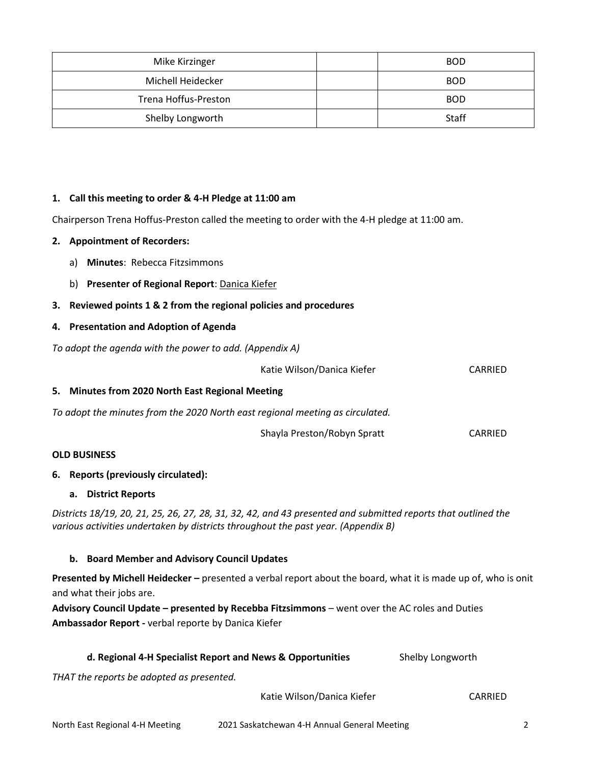| Mike Kirzinger       | <b>BOD</b> |
|----------------------|------------|
| Michell Heidecker    | <b>BOD</b> |
| Trena Hoffus-Preston | <b>BOD</b> |
| Shelby Longworth     | Staff      |

#### **1. Call this meeting to order & 4-H Pledge at 11:00 am**

Chairperson Trena Hoffus-Preston called the meeting to order with the 4-H pledge at 11:00 am.

#### **2. Appointment of Recorders:**

- a) **Minutes**: Rebecca Fitzsimmons
- b) **Presenter of Regional Report**: Danica Kiefer
- **3. Reviewed points 1 & 2 from the regional policies and procedures**

#### **4. Presentation and Adoption of Agenda**

*To adopt the agenda with the power to add. (Appendix A)*

|                                     |                                                                                   | Katie Wilson/Danica Kiefer                                                                                     | CARRIED        |  |
|-------------------------------------|-----------------------------------------------------------------------------------|----------------------------------------------------------------------------------------------------------------|----------------|--|
|                                     | 5. Minutes from 2020 North East Regional Meeting                                  |                                                                                                                |                |  |
|                                     | To adopt the minutes from the 2020 North east regional meeting as circulated.     |                                                                                                                |                |  |
|                                     |                                                                                   | Shayla Preston/Robyn Spratt                                                                                    | <b>CARRIED</b> |  |
|                                     | <b>OLD BUSINESS</b>                                                               |                                                                                                                |                |  |
| 6. Reports (previously circulated): |                                                                                   |                                                                                                                |                |  |
|                                     | a. District Reports                                                               |                                                                                                                |                |  |
|                                     | various activities undertaken by districts throughout the past year. (Appendix B) | Districts 18/19, 20, 21, 25, 26, 27, 28, 31, 32, 42, and 43 presented and submitted reports that outlined the  |                |  |
|                                     | b. Board Member and Advisory Council Updates                                      |                                                                                                                |                |  |
|                                     | and what their jobs are.                                                          | Presented by Michell Heidecker – presented a verbal report about the board, what it is made up of, who is onit |                |  |
|                                     |                                                                                   | Advisory Council Update - presented by Recebba Fitzsimmons - went over the AC roles and Duties                 |                |  |

**Ambassador Report -** verbal reporte by Danica Kiefer

| d. Regional 4-H Specialist Report and News & Opportunities | Shelby Longworth |
|------------------------------------------------------------|------------------|
|                                                            |                  |

*THAT the reports be adopted as presented.*

Katie Wilson/Danica Kiefer **CARRIED**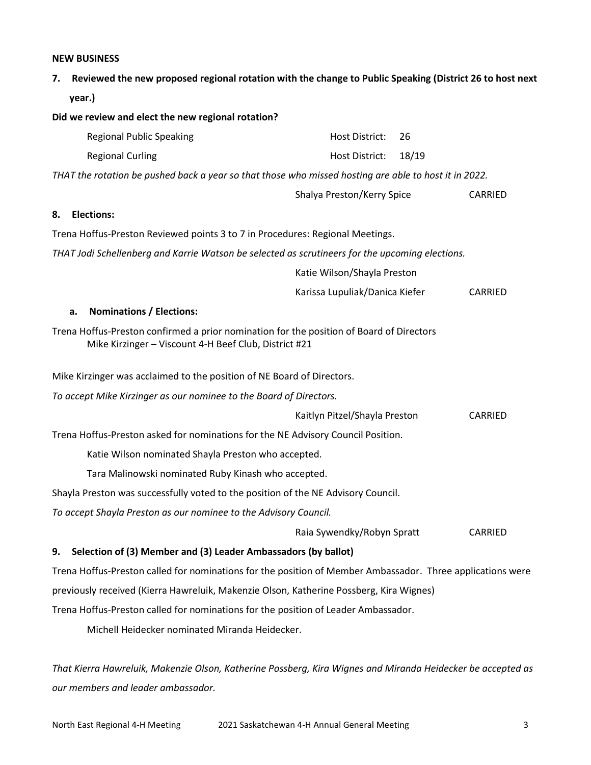#### **NEW BUSINESS**

**7. Reviewed the new proposed regional rotation with the change to Public Speaking (District 26 to host next year.)**

| Did we review and elect the new regional rotation?                                                                                                |                                |         |  |
|---------------------------------------------------------------------------------------------------------------------------------------------------|--------------------------------|---------|--|
| <b>Regional Public Speaking</b>                                                                                                                   | Host District:<br>26           |         |  |
| <b>Regional Curling</b>                                                                                                                           | 18/19<br>Host District:        |         |  |
| THAT the rotation be pushed back a year so that those who missed hosting are able to host it in 2022.                                             |                                |         |  |
|                                                                                                                                                   | Shalya Preston/Kerry Spice     | CARRIED |  |
| <b>Elections:</b><br>8.                                                                                                                           |                                |         |  |
| Trena Hoffus-Preston Reviewed points 3 to 7 in Procedures: Regional Meetings.                                                                     |                                |         |  |
| THAT Jodi Schellenberg and Karrie Watson be selected as scrutineers for the upcoming elections.                                                   |                                |         |  |
|                                                                                                                                                   | Katie Wilson/Shayla Preston    |         |  |
|                                                                                                                                                   | Karissa Lupuliak/Danica Kiefer | CARRIED |  |
| <b>Nominations / Elections:</b><br>a.                                                                                                             |                                |         |  |
| Trena Hoffus-Preston confirmed a prior nomination for the position of Board of Directors<br>Mike Kirzinger - Viscount 4-H Beef Club, District #21 |                                |         |  |
| Mike Kirzinger was acclaimed to the position of NE Board of Directors.                                                                            |                                |         |  |
| To accept Mike Kirzinger as our nominee to the Board of Directors.                                                                                |                                |         |  |
|                                                                                                                                                   | Kaitlyn Pitzel/Shayla Preston  | CARRIED |  |
| Trena Hoffus-Preston asked for nominations for the NE Advisory Council Position.                                                                  |                                |         |  |
| Katie Wilson nominated Shayla Preston who accepted.                                                                                               |                                |         |  |
| Tara Malinowski nominated Ruby Kinash who accepted.                                                                                               |                                |         |  |
| Shayla Preston was successfully voted to the position of the NE Advisory Council.                                                                 |                                |         |  |
| To accept Shayla Preston as our nominee to the Advisory Council.                                                                                  |                                |         |  |
|                                                                                                                                                   | Raia Sywendky/Robyn Spratt     | CARRIED |  |
| Selection of (3) Member and (3) Leader Ambassadors (by ballot)<br>9.                                                                              |                                |         |  |
| Trena Hoffus-Preston called for nominations for the position of Member Ambassador. Three applications were                                        |                                |         |  |
| previously received (Kierra Hawreluik, Makenzie Olson, Katherine Possberg, Kira Wignes)                                                           |                                |         |  |
| Trena Hoffus-Preston called for nominations for the position of Leader Ambassador.                                                                |                                |         |  |

Michell Heidecker nominated Miranda Heidecker.

*That Kierra Hawreluik, Makenzie Olson, Katherine Possberg, Kira Wignes and Miranda Heidecker be accepted as our members and leader ambassador.*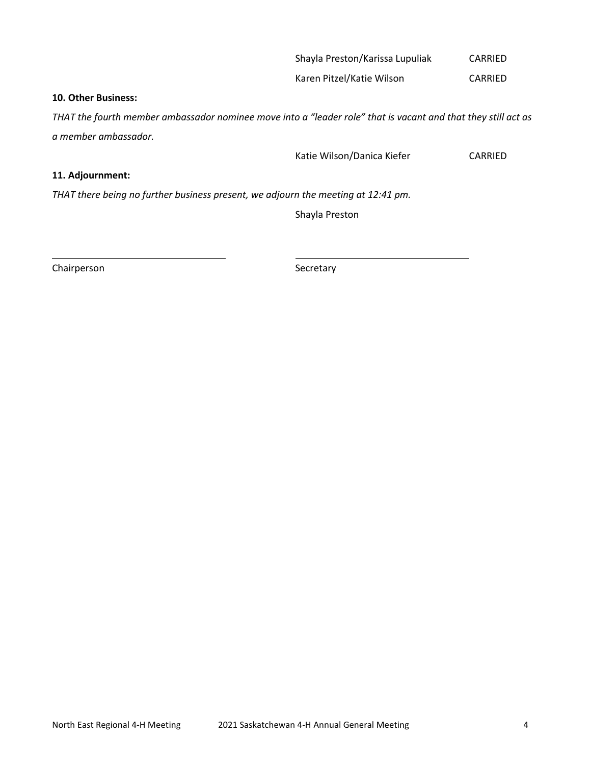#### Shayla Preston/Karissa Lupuliak CARRIED

Karen Pitzel/Katie Wilson CARRIED

#### **10. Other Business:**

*THAT the fourth member ambassador nominee move into a "leader role" that is vacant and that they still act as a member ambassador.*

Katie Wilson/Danica Kiefer CARRIED

## **11. Adjournment:**

*THAT there being no further business present, we adjourn the meeting at 12:41 pm.*

Shayla Preston

Chairperson Secretary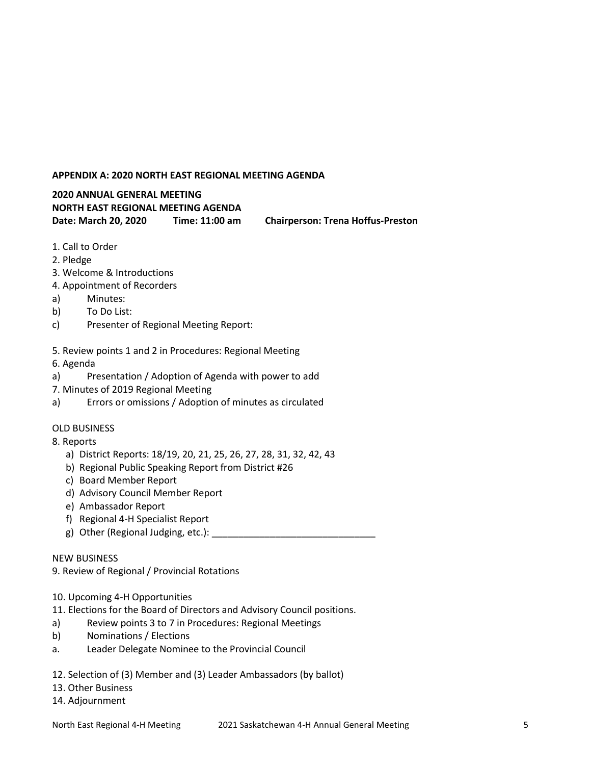## **APPENDIX A: 2020 NORTH EAST REGIONAL MEETING AGENDA**

## **2020 ANNUAL GENERAL MEETING NORTH EAST REGIONAL MEETING AGENDA Date: March 20, 2020 Time: 11:00 am Chairperson: Trena Hoffus-Preston**

- 1. Call to Order
- 2. Pledge
- 3. Welcome & Introductions
- 4. Appointment of Recorders
- a) Minutes:
- b) To Do List:
- c) Presenter of Regional Meeting Report:
- 5. Review points 1 and 2 in Procedures: Regional Meeting
- 6. Agenda
- a) Presentation / Adoption of Agenda with power to add
- 7. Minutes of 2019 Regional Meeting
- a) Errors or omissions / Adoption of minutes as circulated

#### OLD BUSINESS

- 8. Reports
	- a) District Reports: 18/19, 20, 21, 25, 26, 27, 28, 31, 32, 42, 43
	- b) Regional Public Speaking Report from District #26
	- c) Board Member Report
	- d) Advisory Council Member Report
	- e) Ambassador Report
	- f) Regional 4-H Specialist Report
	- g) Other (Regional Judging, etc.):

#### NEW BUSINESS

9. Review of Regional / Provincial Rotations

- 10. Upcoming 4-H Opportunities
- 11. Elections for the Board of Directors and Advisory Council positions.
- a) Review points 3 to 7 in Procedures: Regional Meetings
- b) Nominations / Elections
- a. Leader Delegate Nominee to the Provincial Council
- 12. Selection of (3) Member and (3) Leader Ambassadors (by ballot)
- 13. Other Business
- 14. Adjournment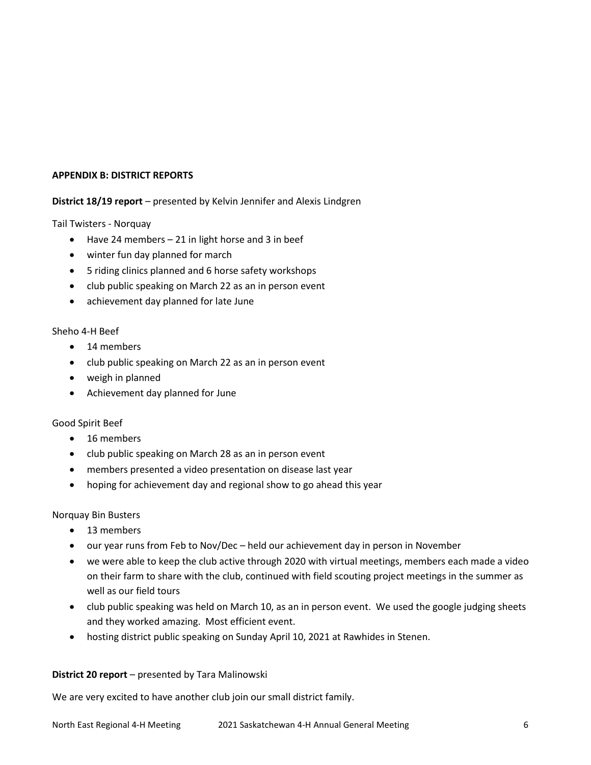#### **APPENDIX B: DISTRICT REPORTS**

## **District 18/19 report** – presented by Kelvin Jennifer and Alexis Lindgren

Tail Twisters - Norquay

- $\bullet$  Have 24 members 21 in light horse and 3 in beef
- winter fun day planned for march
- 5 riding clinics planned and 6 horse safety workshops
- club public speaking on March 22 as an in person event
- achievement day planned for late June

#### Sheho 4-H Beef

- 14 members
- club public speaking on March 22 as an in person event
- weigh in planned
- Achievement day planned for June

#### Good Spirit Beef

- 16 members
- club public speaking on March 28 as an in person event
- members presented a video presentation on disease last year
- hoping for achievement day and regional show to go ahead this year

Norquay Bin Busters

- 13 members
- our year runs from Feb to Nov/Dec held our achievement day in person in November
- we were able to keep the club active through 2020 with virtual meetings, members each made a video on their farm to share with the club, continued with field scouting project meetings in the summer as well as our field tours
- club public speaking was held on March 10, as an in person event. We used the google judging sheets and they worked amazing. Most efficient event.
- hosting district public speaking on Sunday April 10, 2021 at Rawhides in Stenen.

#### **District 20 report** – presented by Tara Malinowski

We are very excited to have another club join our small district family.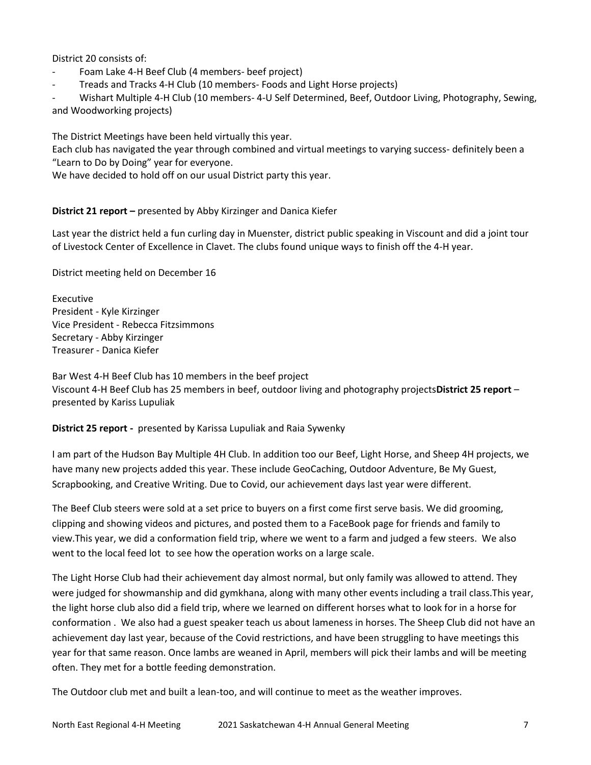District 20 consists of:

- Foam Lake 4-H Beef Club (4 members- beef project)
- Treads and Tracks 4-H Club (10 members- Foods and Light Horse projects)

- Wishart Multiple 4-H Club (10 members- 4-U Self Determined, Beef, Outdoor Living, Photography, Sewing, and Woodworking projects)

The District Meetings have been held virtually this year.

Each club has navigated the year through combined and virtual meetings to varying success- definitely been a "Learn to Do by Doing" year for everyone.

We have decided to hold off on our usual District party this year.

**District 21 report –** presented by Abby Kirzinger and Danica Kiefer

Last year the district held a fun curling day in Muenster, district public speaking in Viscount and did a joint tour of Livestock Center of Excellence in Clavet. The clubs found unique ways to finish off the 4-H year.

District meeting held on December 16

Executive President - Kyle Kirzinger Vice President - Rebecca Fitzsimmons Secretary - Abby Kirzinger Treasurer - Danica Kiefer

Bar West 4-H Beef Club has 10 members in the beef project Viscount 4-H Beef Club has 25 members in beef, outdoor living and photography projects**District 25 report** – presented by Kariss Lupuliak

**District 25 report -** presented by Karissa Lupuliak and Raia Sywenky

I am part of the Hudson Bay Multiple 4H Club. In addition too our Beef, Light Horse, and Sheep 4H projects, we have many new projects added this year. These include GeoCaching, Outdoor Adventure, Be My Guest, Scrapbooking, and Creative Writing. Due to Covid, our achievement days last year were different.

The Beef Club steers were sold at a set price to buyers on a first come first serve basis. We did grooming, clipping and showing videos and pictures, and posted them to a FaceBook page for friends and family to view.This year, we did a conformation field trip, where we went to a farm and judged a few steers. We also went to the local feed lot to see how the operation works on a large scale.

The Light Horse Club had their achievement day almost normal, but only family was allowed to attend. They were judged for showmanship and did gymkhana, along with many other events including a trail class.This year, the light horse club also did a field trip, where we learned on different horses what to look for in a horse for conformation . We also had a guest speaker teach us about lameness in horses. The Sheep Club did not have an achievement day last year, because of the Covid restrictions, and have been struggling to have meetings this year for that same reason. Once lambs are weaned in April, members will pick their lambs and will be meeting often. They met for a bottle feeding demonstration.

The Outdoor club met and built a lean-too, and will continue to meet as the weather improves.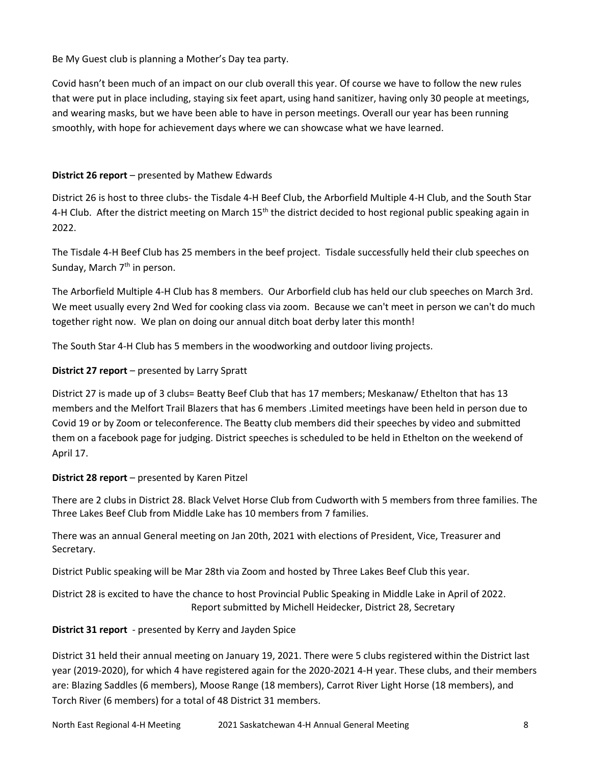Be My Guest club is planning a Mother's Day tea party.

Covid hasn't been much of an impact on our club overall this year. Of course we have to follow the new rules that were put in place including, staying six feet apart, using hand sanitizer, having only 30 people at meetings, and wearing masks, but we have been able to have in person meetings. Overall our year has been running smoothly, with hope for achievement days where we can showcase what we have learned.

## **District 26 report** – presented by Mathew Edwards

District 26 is host to three clubs- the Tisdale 4-H Beef Club, the Arborfield Multiple 4-H Club, and the South Star 4-H Club. After the district meeting on March 15<sup>th</sup> the district decided to host regional public speaking again in 2022.

The Tisdale 4-H Beef Club has 25 members in the beef project. Tisdale successfully held their club speeches on Sunday, March  $7<sup>th</sup>$  in person.

The Arborfield Multiple 4-H Club has 8 members. Our Arborfield club has held our club speeches on March 3rd. We meet usually every 2nd Wed for cooking class via zoom. Because we can't meet in person we can't do much together right now. We plan on doing our annual ditch boat derby later this month!

The South Star 4-H Club has 5 members in the woodworking and outdoor living projects.

## **District 27 report** – presented by Larry Spratt

District 27 is made up of 3 clubs= Beatty Beef Club that has 17 members; Meskanaw/ Ethelton that has 13 members and the Melfort Trail Blazers that has 6 members .Limited meetings have been held in person due to Covid 19 or by Zoom or teleconference. The Beatty club members did their speeches by video and submitted them on a facebook page for judging. District speeches is scheduled to be held in Ethelton on the weekend of April 17.

#### **District 28 report** – presented by Karen Pitzel

There are 2 clubs in District 28. Black Velvet Horse Club from Cudworth with 5 members from three families. The Three Lakes Beef Club from Middle Lake has 10 members from 7 families.

There was an annual General meeting on Jan 20th, 2021 with elections of President, Vice, Treasurer and Secretary.

District Public speaking will be Mar 28th via Zoom and hosted by Three Lakes Beef Club this year.

District 28 is excited to have the chance to host Provincial Public Speaking in Middle Lake in April of 2022. Report submitted by Michell Heidecker, District 28, Secretary

#### **District 31 report** - presented by Kerry and Jayden Spice

District 31 held their annual meeting on January 19, 2021. There were 5 clubs registered within the District last year (2019-2020), for which 4 have registered again for the 2020-2021 4-H year. These clubs, and their members are: Blazing Saddles (6 members), Moose Range (18 members), Carrot River Light Horse (18 members), and Torch River (6 members) for a total of 48 District 31 members.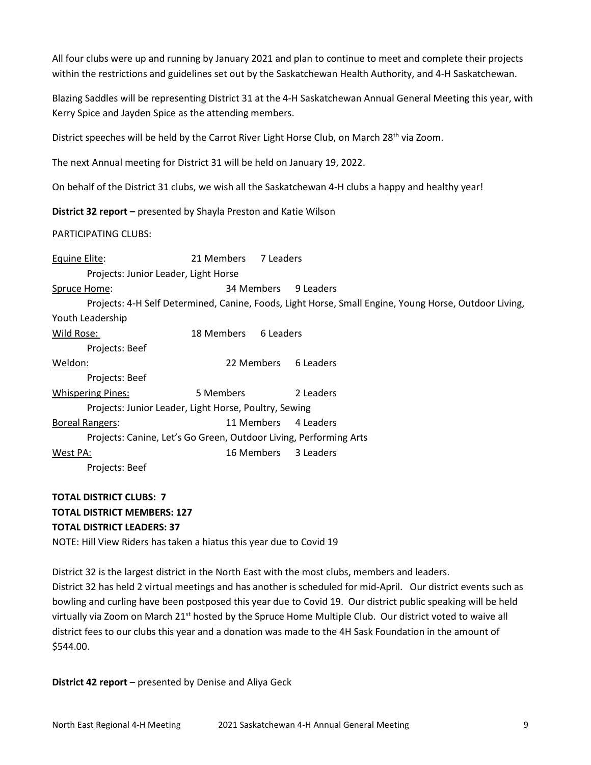All four clubs were up and running by January 2021 and plan to continue to meet and complete their projects within the restrictions and guidelines set out by the Saskatchewan Health Authority, and 4-H Saskatchewan.

Blazing Saddles will be representing District 31 at the 4-H Saskatchewan Annual General Meeting this year, with Kerry Spice and Jayden Spice as the attending members.

District speeches will be held by the Carrot River Light Horse Club, on March 28<sup>th</sup> via Zoom.

The next Annual meeting for District 31 will be held on January 19, 2022.

On behalf of the District 31 clubs, we wish all the Saskatchewan 4-H clubs a happy and healthy year!

**District 32 report –** presented by Shayla Preston and Katie Wilson

PARTICIPATING CLUBS:

Equine Elite: 21 Members 7 Leaders Projects: Junior Leader, Light Horse Spruce Home: 34 Members 9 Leaders Projects: 4-H Self Determined, Canine, Foods, Light Horse, Small Engine, Young Horse, Outdoor Living, Youth Leadership Wild Rose: 18 Members 6 Leaders Projects: Beef Weldon: 22 Members 6 Leaders Projects: Beef Whispering Pines: 5 Members 2 Leaders Projects: Junior Leader, Light Horse, Poultry, Sewing Boreal Rangers: 11 Members 4 Leaders Projects: Canine, Let's Go Green, Outdoor Living, Performing Arts West PA:  $16$  Members 3 Leaders Projects: Beef

# **TOTAL DISTRICT CLUBS: 7 TOTAL DISTRICT MEMBERS: 127 TOTAL DISTRICT LEADERS: 37**

NOTE: Hill View Riders has taken a hiatus this year due to Covid 19

District 32 is the largest district in the North East with the most clubs, members and leaders. District 32 has held 2 virtual meetings and has another is scheduled for mid-April. Our district events such as bowling and curling have been postposed this year due to Covid 19. Our district public speaking will be held virtually via Zoom on March 21<sup>st</sup> hosted by the Spruce Home Multiple Club. Our district voted to waive all district fees to our clubs this year and a donation was made to the 4H Sask Foundation in the amount of \$544.00.

**District 42 report** – presented by Denise and Aliya Geck